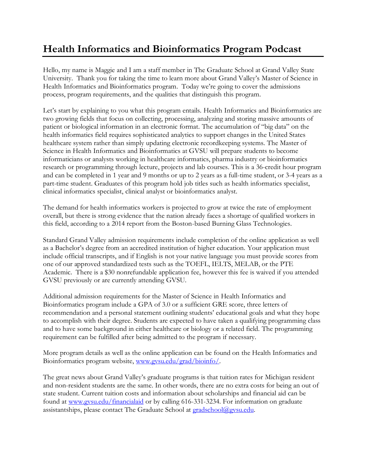## **Health Informatics and Bioinformatics Program Podcast**

Hello, my name is Maggie and I am a staff member in The Graduate School at Grand Valley State University. Thank you for taking the time to learn more about Grand Valley's Master of Science in Health Informatics and Bioinformatics program. Today we're going to cover the admissions process, program requirements, and the qualities that distinguish this program.

Let's start by explaining to you what this program entails. Health Informatics and Bioinformatics are two growing fields that focus on collecting, processing, analyzing and storing massive amounts of patient or biological information in an electronic format. The accumulation of "big data" on the health informatics field requires sophisticated analytics to support changes in the United States healthcare system rather than simply updating electronic recordkeeping systems. The Master of Science in Health Informatics and Bioinformatics at GVSU will prepare students to become informaticians or analysts working in healthcare informatics, pharma industry or bioinformatics research or programming through lecture, projects and lab courses. This is a 36-credit hour program and can be completed in 1 year and 9 months or up to 2 years as a full-time student, or 3-4 years as a part-time student. Graduates of this program hold job titles such as health informatics specialist, clinical informatics specialist, clinical analyst or bioinformatics analyst.

The demand for health informatics workers is projected to grow at twice the rate of employment overall, but there is strong evidence that the nation already faces a shortage of qualified workers in this field, according to a 2014 report from the Boston-based Burning Glass Technologies.

Standard Grand Valley admission requirements include completion of the online application as well as a Bachelor's degree from an accredited institution of higher education. Your application must include official transcripts, and if English is not your native language you must provide scores from one of our approved standardized tests such as the TOEFL, IELTS, MELAB, or the PTE Academic. There is a \$30 nonrefundable application fee, however this fee is waived if you attended GVSU previously or are currently attending GVSU.

Additional admission requirements for the Master of Science in Health Informatics and Bioinformatics program include a GPA of 3.0 or a sufficient GRE score, three letters of recommendation and a personal statement outlining students' educational goals and what they hope to accomplish with their degree. Students are expected to have taken a qualifying programming class and to have some background in either healthcare or biology or a related field. The programming requirement can be fulfilled after being admitted to the program if necessary.

More program details as well as the online application can be found on the Health Informatics and Bioinformatics program website, [www.gvsu.edu/grad/bioinfo/.](http://www.gvsu.edu/grad/bioinfo/)

The great news about Grand Valley's graduate programs is that tuition rates for Michigan resident and non-resident students are the same. In other words, there are no extra costs for being an out of state student. Current tuition costs and information about scholarships and financial aid can be found at [www.gvsu.edu/financialaid](http://www.gvsu.edu/financialaid) or by calling 616-331-3234. For information on graduate assistantships, please contact The Graduate School at [gradschool@gvsu.edu.](mailto:gradschool@gvsu.edu)